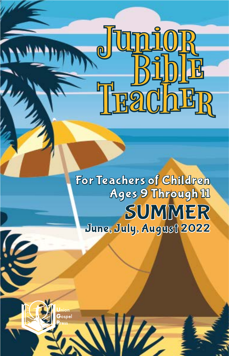## SUMMER<br>June, July, August 2022 For Teachers of Children Ages 9 Through 11

Junior<br>Bible

TradbER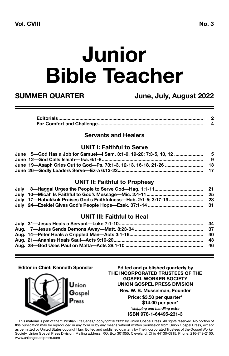# **Junior Bible Teacher**

**SUMMER QUARTER June, July, August 2022**

#### **Servants and Healers**

#### **UNIT I: Faithful to Serve**

|                                                                                   | - 9 |
|-----------------------------------------------------------------------------------|-----|
| June 19—Asaph Cries Out to God—Ps, 73:1-3, 12-13, 16-18, 21-26 ……………………………………………… |     |
|                                                                                   |     |

#### **UNIT II: Faithful to Prophesy**

| July   17—Habakkuk Praises God's Faithfulness—Hab. 2:1-5; 3:17-19………………………………………… |  |
|-----------------------------------------------------------------------------------|--|
| July 24—Ezekiel Gives God's People Hope—Ezek. 37:1-14 ……………………………………………………………………  |  |

#### **UNIT III: Faithful to Heal**

#### **Editor in Chief: Kenneth Sponsler**



**Edited and published quarterly by THE INCORPORATED TRUSTEES OF THE GOSPEL WORKER SOCIETY UNION GOSPEL PRESS DIVISION Rev. W. B. Musselman, Founder Price: \$3.50 per quarter\* \$14.00 per year\*** *\*shipping and handling extra* **ISBN 978-1-64495-231-3**

This material is part of the "Christian Life Series," copyright © 2022 by Union Gospel Press. All rights reserved. No portion of this publication may be reproduced in any form or by any means without written permission from Union Gospel Press, except as permitted by United States copyright law. Edited and published quarterly by The Incorporated Trustees of the Gospel Worker Society, Union Gospel Press Division. Mailing address: P.O. Box 301055, Cleveland, Ohio 44130-0915. Phone: 216-749-2100. www.uniongospelpress.com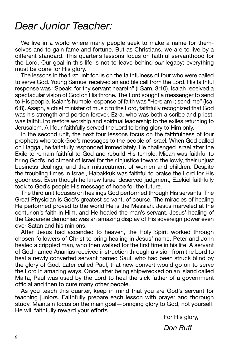#### *Dear Junior Teacher:*

We live in a world where many people seek to make a name for themselves and to gain fame and fortune. But as Christians, we are to live by a different standard. This quarter's lessons focus on faithful servanthood for the Lord. Our goal in this life is not to leave behind *our* legacy; everything must be done for His glory.

The lessons in the first unit focus on the faithfulness of four who were called to serve God. Young Samuel received an audible call from the Lord. His faithful response was "Speak; for thy servant heareth" (I Sam. 3:10). Isaiah received a spectacular vision of God on His throne. The Lord sought a messenger to send to His people. Isaiah's humble response of faith was "Here am I; send me" (Isa. 6:8). Asaph, a chief minister of music to the Lord, faithfully recognized that God was his strength and portion forever. Ezra, who was both a scribe and priest, was faithful to restore worship and spiritual leadership to the exiles returning to Jerusalem. All four faithfully served the Lord to bring glory to Him only.

In the second unit, the next four lessons focus on the faithfulness of four prophets who took God's messages to the people of Israel. When God called on Haggai, he faithfully responded immediately. He challenged Israel after the Exile to remain faithful to God and rebuild His temple. Micah was faithful to bring God's indictment of Israel for their injustice toward the lowly, their unjust business dealings, and their mistreatment of women and children. Despite the troubling times in Israel, Habakkuk was faithful to praise the Lord for His goodness. Even though he knew Israel deserved judgment, Ezekiel faithfully took to God's people His message of hope for the future.

The third unit focuses on healings God performed through His servants. The Great Physician is God's greatest servant, of course. The miracles of healing He performed proved to the world He is the Messiah. Jesus marveled at the centurion's faith in Him, and He healed the man's servant. Jesus' healing of the Gadarene demoniac was an amazing display of His sovereign power even over Satan and his minions.

After Jesus had ascended to heaven, the Holy Spirit worked through chosen followers of Christ to bring healing in Jesus' name. Peter and John healed a crippled man, who then walked for the first time in his life. A servant of God named Ananias received instruction through a vision from the Lord to heal a newly converted servant named Saul, who had been struck blind by the glory of God. Later called Paul, that new convert would go on to serve the Lord in amazing ways. Once, after being shipwrecked on an island called Malta, Paul was used by the Lord to heal the sick father of a government official and then to cure many other people.

As you teach this quarter, keep in mind that you are God's servant for teaching juniors. Faithfully prepare each lesson with prayer and thorough study. Maintain focus on the main goal—bringing glory to God, not yourself. He will faithfully reward your efforts.

For His glory,

*Don Ruff*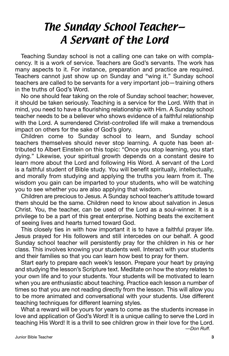### The Sunday School Teacher— A Servant of the Lord

Teaching Sunday school is not a calling one can take on with complacency. It is a work of service. Teachers are God's servants. The work has many aspects to it. For instance, preparation and practice are required. Teachers cannot just show up on Sunday and "wing it." Sunday school teachers are called to be servants for a very important job—training others in the truths of God's Word.

No one should fear taking on the role of Sunday school teacher; however, it should be taken seriously. Teaching is a service for the Lord. With that in mind, you need to have a flourishing relationship with Him. A Sunday school teacher needs to be a believer who shows evidence of a faithful relationship with the Lord. A surrendered Christ-controlled life will make a tremendous impact on others for the sake of God's glory.

Children come to Sunday school to learn, and Sunday school teachers themselves should never stop learning. A quote has been attributed to Albert Einstein on this topic: "Once you stop learning, you start dying." Likewise, your spiritual growth depends on a constant desire to learn more about the Lord and following His Word. A servant of the Lord is a faithful student of Bible study. You will benefit spiritually, intellectually, and morally from studying and applying the truths you learn from it. The wisdom you gain can be imparted to your students, who will be watching you to see whether you are also applying that wisdom.

Children are precious to Jesus. A Sunday school teacher's attitude toward them should be the same. Children need to know about salvation in Jesus Christ. You, the teacher, can be used of the Lord as a soul-winner. It is a privilege to be a part of this great enterprise. Nothing beats the excitement of seeing lives and hearts turned toward God.

This closely ties in with how important it is to have a faithful prayer life. Jesus prayed for His followers and still intercedes on our behalf. A good Sunday school teacher will persistently pray for the children in his or her class. This involves knowing your students well. Interact with your students and their families so that you can learn how best to pray for them.

Start early to prepare each week's lesson. Prepare your heart by praying and studying the lesson's Scripture text. Meditate on how the story relates to your own life and to your students. Your students will be motivated to learn when you are enthusiastic about teaching. Practice each lesson a number of times so that you are not reading directly from the lesson. This will allow you to be more animated and conversational with your students. Use different teaching techniques for different learning styles.

What a reward will be yours for years to come as the students increase in love and application of God's Word! It is a unique calling to serve the Lord in teaching His Word! It is a thrill to see children grow in their love for the Lord.

*—Don Ruff.*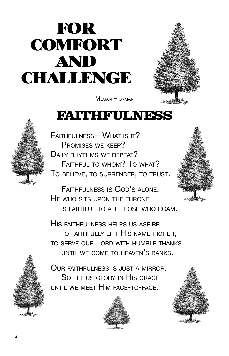## FOR **COMFORT** AND **CHALLENGE**



Megan Hickman

### FAITHFULNESS



Faithfulness—What is it? Promises we keep? DAILY RHYTHMS WE REPEAT? Faithful to whom? To what? To believe, to surrender, to trust.

Faithfulness is God's alone. He who sits upon the throne is faithful to all those who roam.

His faithfulness helps us aspire to faithfully lift His name higher, to serve our Lord with humble thanks UNTIL WE COME TO HEAVEN'S BANKS.



Our faithfulness is just <sup>a</sup> mirror. So let us glory in His grace until we meet Him face-to-face.



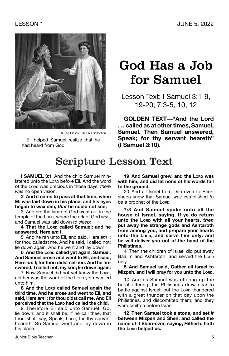

© The Classic Bible Art Collection

Eli helped Samuel realize that he had heard from God.

### God Has a Job for Samuel

Lesson Text: I Samuel 3:1-9, 19-20; 7:3-5, 10, 12

**GOLDEN TEXT—"And the Lord . . . called as at other times, Samuel, Samuel. Then Samuel answered, Speak; for thy servant heareth" (I Samuel 3:10).**

### Scripture Lesson Text

**I SAMUEL 3:1** And the child Samuel ministered unto the Lorp before Eli. And the word of the Lord was precious in those days; *there was* no open vision.

**2 And it came to pass at that time, when Eli** *was* **laid down in his place, and his eyes began to wax dim,** *that* **he could not see;**

3 And ere the lamp of God went out in the temple of the Lorp, where the ark of God was, and Samuel was laid down *to sleep;*

**4 That the Lord called Samuel: and he answered, Here** *am* **I.**

5 And he ran unto Eli, and said, Here *am* I; for thou calledst me. And he said, I called not; lie down again. And he went and lay down.

**6 And the Lord called yet again, Samuel. And Samuel arose and went to Eli, and said, Here** *am* **I; for thou didst call me. And he answered, I called not, my son; lie down again.**

7 Now Samuel did not yet know the Lord, neither was the word of the LORD yet revealed unto him.

**8 And the Lord called Samuel again the third time. And he arose and went to Eli, and said, Here** *am* **I; for thou didst call me. And Eli perceived that the Lord had called the child.**

9 Therefore Eli said unto Samuel, Go, lie down: and it shall be, if he call thee, that thou shalt say, Speak, Lorp; for thy servant heareth. So Samuel went and lay down in his place.

19 And Samuel grew, and the Lorp was **with him, and did let none of his words fall to the ground.**

20 And all Israel from Dan even to Beersheba knew that Samuel *was* established *to*  be a prophet of the Lorp.

**7:3 And Samuel spake unto all the house of Israel, saying, If ye do return unto the Lord with all your hearts,** *then* **put away the strange gods and Ashtaroth from among you, and prepare your hearts unto the Lord, and serve him only: and he will deliver you out of the hand of the Philistines.**

4 Then the children of Israel did put away Baalim and Ashtaroth, and served the LORD only.

**5 And Samuel said, Gather all Israel to Mizpeh, and I will pray for you unto the Lord.** 

10 And as Samuel was offering up the burnt offering, the Philistines drew near to battle against Israel: but the LORD thundered with a great thunder on that day upon the Philistines, and discomfited them; and they were smitten before Israel.

**12 Then Samuel took a stone, and set** *it*  **between Mizpeh and Shen, and called the name of it Eben-ezer***,* **saying, Hitherto hath the Lord helped us.**